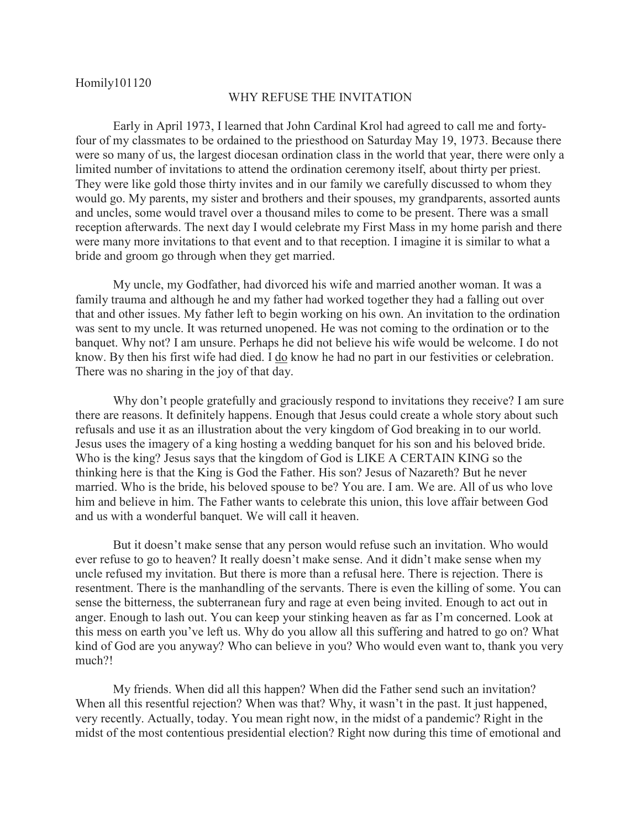Homily101120

## WHY REFUSE THE INVITATION

 Early in April 1973, I learned that John Cardinal Krol had agreed to call me and fortyfour of my classmates to be ordained to the priesthood on Saturday May 19, 1973. Because there were so many of us, the largest diocesan ordination class in the world that year, there were only a limited number of invitations to attend the ordination ceremony itself, about thirty per priest. They were like gold those thirty invites and in our family we carefully discussed to whom they would go. My parents, my sister and brothers and their spouses, my grandparents, assorted aunts and uncles, some would travel over a thousand miles to come to be present. There was a small reception afterwards. The next day I would celebrate my First Mass in my home parish and there were many more invitations to that event and to that reception. I imagine it is similar to what a bride and groom go through when they get married.

 My uncle, my Godfather, had divorced his wife and married another woman. It was a family trauma and although he and my father had worked together they had a falling out over that and other issues. My father left to begin working on his own. An invitation to the ordination was sent to my uncle. It was returned unopened. He was not coming to the ordination or to the banquet. Why not? I am unsure. Perhaps he did not believe his wife would be welcome. I do not know. By then his first wife had died. I do know he had no part in our festivities or celebration. There was no sharing in the joy of that day.

 Why don't people gratefully and graciously respond to invitations they receive? I am sure there are reasons. It definitely happens. Enough that Jesus could create a whole story about such refusals and use it as an illustration about the very kingdom of God breaking in to our world. Jesus uses the imagery of a king hosting a wedding banquet for his son and his beloved bride. Who is the king? Jesus says that the kingdom of God is LIKE A CERTAIN KING so the thinking here is that the King is God the Father. His son? Jesus of Nazareth? But he never married. Who is the bride, his beloved spouse to be? You are. I am. We are. All of us who love him and believe in him. The Father wants to celebrate this union, this love affair between God and us with a wonderful banquet. We will call it heaven.

 But it doesn't make sense that any person would refuse such an invitation. Who would ever refuse to go to heaven? It really doesn't make sense. And it didn't make sense when my uncle refused my invitation. But there is more than a refusal here. There is rejection. There is resentment. There is the manhandling of the servants. There is even the killing of some. You can sense the bitterness, the subterranean fury and rage at even being invited. Enough to act out in anger. Enough to lash out. You can keep your stinking heaven as far as I'm concerned. Look at this mess on earth you've left us. Why do you allow all this suffering and hatred to go on? What kind of God are you anyway? Who can believe in you? Who would even want to, thank you very much?!

 My friends. When did all this happen? When did the Father send such an invitation? When all this resentful rejection? When was that? Why, it wasn't in the past. It just happened, very recently. Actually, today. You mean right now, in the midst of a pandemic? Right in the midst of the most contentious presidential election? Right now during this time of emotional and